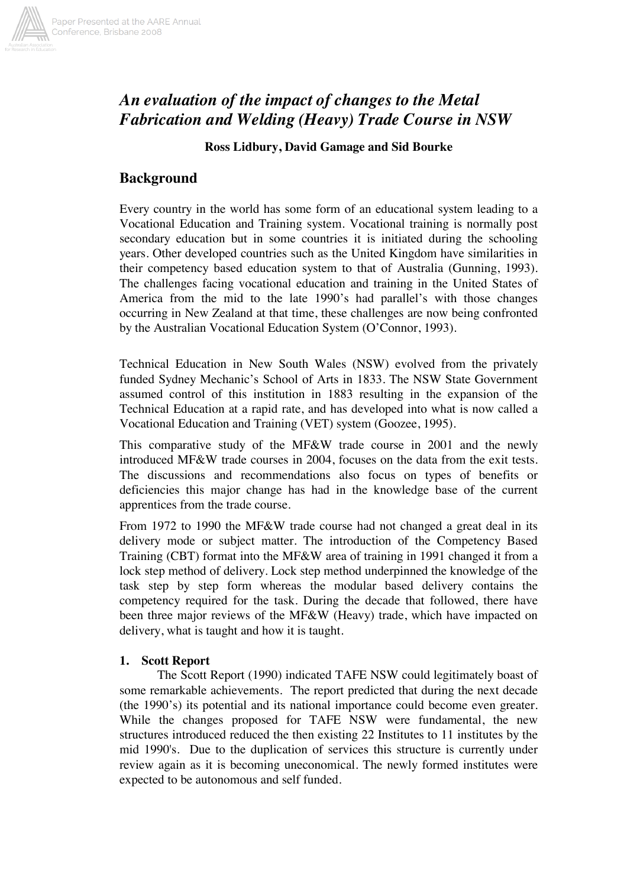

# *An evaluation of the impact of changes to the Metal Fabrication and Welding (Heavy) Trade Course in NSW*

#### **Ross Lidbury, David Gamage and Sid Bourke**

## **Background**

Every country in the world has some form of an educational system leading to a Vocational Education and Training system. Vocational training is normally post secondary education but in some countries it is initiated during the schooling years. Other developed countries such as the United Kingdom have similarities in their competency based education system to that of Australia (Gunning, 1993). The challenges facing vocational education and training in the United States of America from the mid to the late 1990's had parallel's with those changes occurring in New Zealand at that time, these challenges are now being confronted by the Australian Vocational Education System (O'Connor, 1993).

Technical Education in New South Wales (NSW) evolved from the privately funded Sydney Mechanic's School of Arts in 1833. The NSW State Government assumed control of this institution in 1883 resulting in the expansion of the Technical Education at a rapid rate, and has developed into what is now called a Vocational Education and Training (VET) system (Goozee, 1995).

This comparative study of the MF&W trade course in 2001 and the newly introduced MF&W trade courses in 2004, focuses on the data from the exit tests. The discussions and recommendations also focus on types of benefits or deficiencies this major change has had in the knowledge base of the current apprentices from the trade course.

From 1972 to 1990 the MF&W trade course had not changed a great deal in its delivery mode or subject matter. The introduction of the Competency Based Training (CBT) format into the MF&W area of training in 1991 changed it from a lock step method of delivery. Lock step method underpinned the knowledge of the task step by step form whereas the modular based delivery contains the competency required for the task. During the decade that followed, there have been three major reviews of the MF&W (Heavy) trade, which have impacted on delivery, what is taught and how it is taught.

#### **1. Scott Report**

The Scott Report (1990) indicated TAFE NSW could legitimately boast of some remarkable achievements. The report predicted that during the next decade (the 1990's) its potential and its national importance could become even greater. While the changes proposed for TAFE NSW were fundamental, the new structures introduced reduced the then existing 22 Institutes to 11 institutes by the mid 1990's. Due to the duplication of services this structure is currently under review again as it is becoming uneconomical. The newly formed institutes were expected to be autonomous and self funded.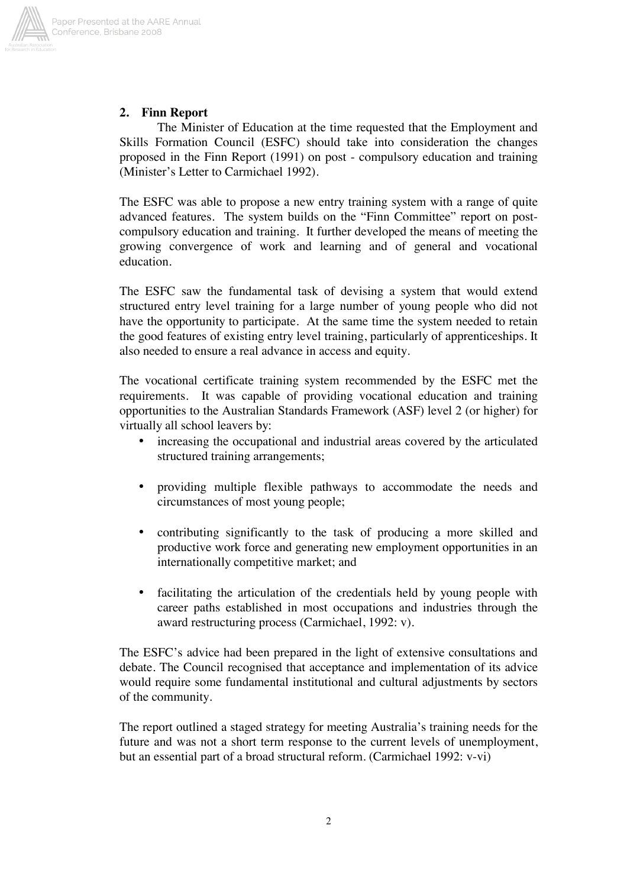

### **2. Finn Report**

The Minister of Education at the time requested that the Employment and Skills Formation Council (ESFC) should take into consideration the changes proposed in the Finn Report (1991) on post - compulsory education and training (Minister's Letter to Carmichael 1992).

The ESFC was able to propose a new entry training system with a range of quite advanced features. The system builds on the "Finn Committee" report on postcompulsory education and training. It further developed the means of meeting the growing convergence of work and learning and of general and vocational education.

The ESFC saw the fundamental task of devising a system that would extend structured entry level training for a large number of young people who did not have the opportunity to participate. At the same time the system needed to retain the good features of existing entry level training, particularly of apprenticeships. It also needed to ensure a real advance in access and equity.

The vocational certificate training system recommended by the ESFC met the requirements. It was capable of providing vocational education and training opportunities to the Australian Standards Framework (ASF) level 2 (or higher) for virtually all school leavers by:

- increasing the occupational and industrial areas covered by the articulated structured training arrangements;
- providing multiple flexible pathways to accommodate the needs and circumstances of most young people;
- contributing significantly to the task of producing a more skilled and productive work force and generating new employment opportunities in an internationally competitive market; and
- facilitating the articulation of the credentials held by young people with career paths established in most occupations and industries through the award restructuring process (Carmichael, 1992: v).

The ESFC's advice had been prepared in the light of extensive consultations and debate. The Council recognised that acceptance and implementation of its advice would require some fundamental institutional and cultural adjustments by sectors of the community.

The report outlined a staged strategy for meeting Australia's training needs for the future and was not a short term response to the current levels of unemployment, but an essential part of a broad structural reform. (Carmichael 1992: v-vi)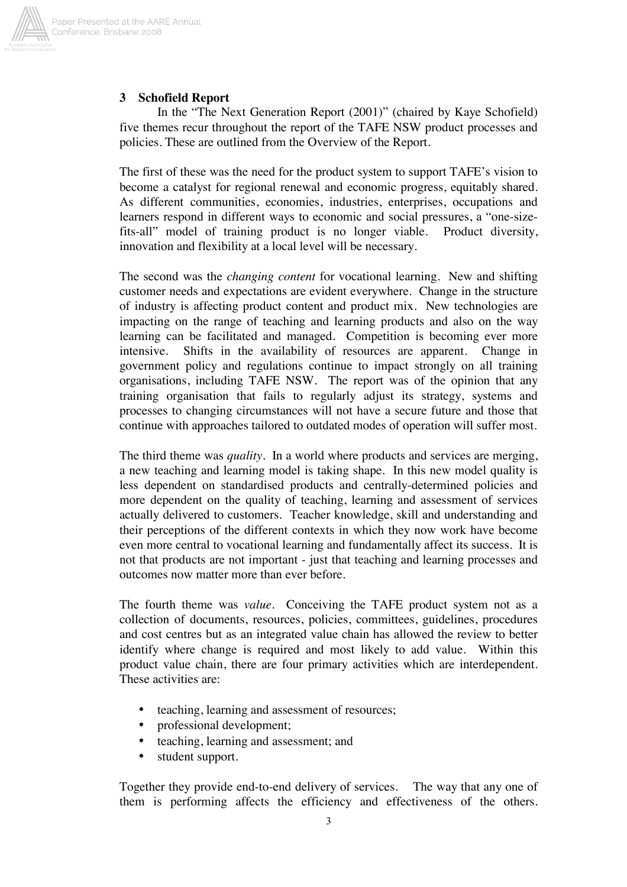

#### **3 Schofield Report**

In the "The Next Generation Report (2001)" (chaired by Kaye Schofield) five themes recur throughout the report of the TAFE NSW product processes and policies. These are outlined from the Overview of the Report.

The first of these was the need for the product system to support TAFE's vision to become a catalyst for regional renewal and economic progress, equitably shared. As different communities, economies, industries, enterprises, occupations and learners respond in different ways to economic and social pressures, a "one-sizefits-all" model of training product is no longer viable. Product diversity, innovation and flexibility at a local level will be necessary.

The second was the *changing content* for vocational learning. New and shifting customer needs and expectations are evident everywhere. Change in the structure of industry is affecting product content and product mix. New technologies are impacting on the range of teaching and learning products and also on the way learning can be facilitated and managed. Competition is becoming ever more intensive. Shifts in the availability of resources are apparent. Change in government policy and regulations continue to impact strongly on all training organisations, including TAFE NSW. The report was of the opinion that any training organisation that fails to regularly adjust its strategy, systems and processes to changing circumstances will not have a secure future and those that continue with approaches tailored to outdated modes of operation will suffer most.

The third theme was *quality*. In a world where products and services are merging, a new teaching and learning model is taking shape. In this new model quality is less dependent on standardised products and centrally-determined policies and more dependent on the quality of teaching, learning and assessment of services actually delivered to customers. Teacher knowledge, skill and understanding and their perceptions of the different contexts in which they now work have become even more central to vocational learning and fundamentally affect its success. It is not that products are not important - just that teaching and learning processes and outcomes now matter more than ever before.

The fourth theme was *value*. Conceiving the TAFE product system not as a collection of documents, resources, policies, committees, guidelines, procedures and cost centres but as an integrated value chain has allowed the review to better identify where change is required and most likely to add value. Within this product value chain, there are four primary activities which are interdependent. These activities are:

- teaching, learning and assessment of resources;
- professional development;
- teaching, learning and assessment; and
- student support.

Together they provide end-to-end delivery of services. The way that any one of them is performing affects the efficiency and effectiveness of the others.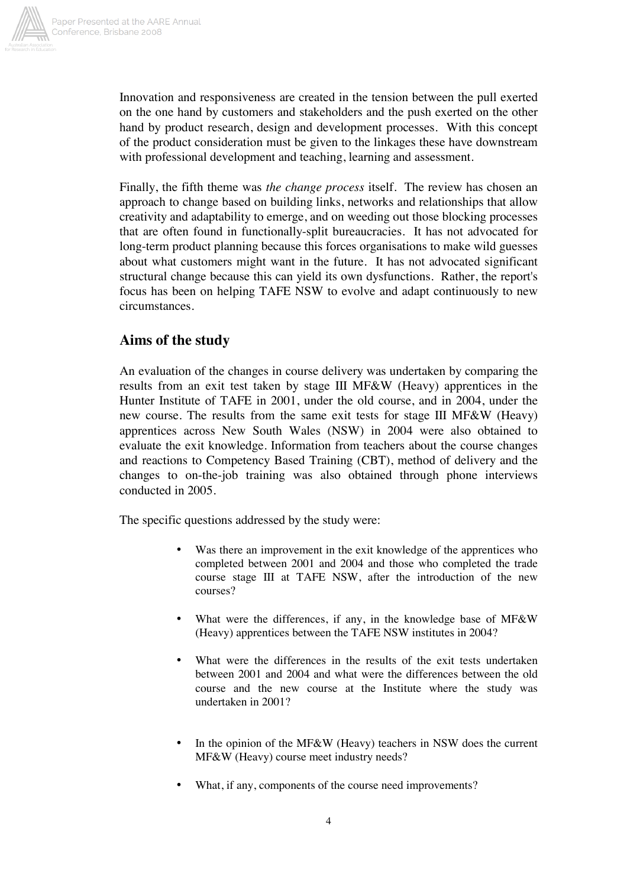

Innovation and responsiveness are created in the tension between the pull exerted on the one hand by customers and stakeholders and the push exerted on the other hand by product research, design and development processes. With this concept of the product consideration must be given to the linkages these have downstream with professional development and teaching, learning and assessment.

Finally, the fifth theme was *the change process* itself. The review has chosen an approach to change based on building links, networks and relationships that allow creativity and adaptability to emerge, and on weeding out those blocking processes that are often found in functionally-split bureaucracies. It has not advocated for long-term product planning because this forces organisations to make wild guesses about what customers might want in the future. It has not advocated significant structural change because this can yield its own dysfunctions. Rather, the report's focus has been on helping TAFE NSW to evolve and adapt continuously to new circumstances.

## **Aims of the study**

An evaluation of the changes in course delivery was undertaken by comparing the results from an exit test taken by stage III MF&W (Heavy) apprentices in the Hunter Institute of TAFE in 2001, under the old course, and in 2004, under the new course. The results from the same exit tests for stage III MF&W (Heavy) apprentices across New South Wales (NSW) in 2004 were also obtained to evaluate the exit knowledge. Information from teachers about the course changes and reactions to Competency Based Training (CBT), method of delivery and the changes to on-the-job training was also obtained through phone interviews conducted in 2005.

The specific questions addressed by the study were:

- Was there an improvement in the exit knowledge of the apprentices who completed between 2001 and 2004 and those who completed the trade course stage III at TAFE NSW, after the introduction of the new courses?
- What were the differences, if any, in the knowledge base of MF&W (Heavy) apprentices between the TAFE NSW institutes in 2004?
- What were the differences in the results of the exit tests undertaken between 2001 and 2004 and what were the differences between the old course and the new course at the Institute where the study was undertaken in 2001?
- In the opinion of the MF&W (Heavy) teachers in NSW does the current MF&W (Heavy) course meet industry needs?
- What, if any, components of the course need improvements?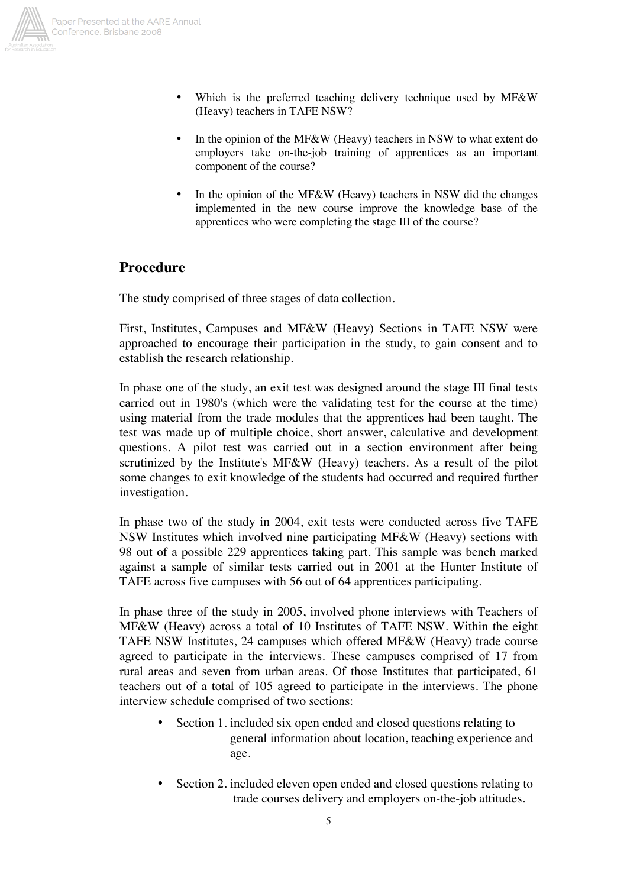

- Paper Presented at the AARE Annual Conference, Brisbane 2008
	- Which is the preferred teaching delivery technique used by MF&W (Heavy) teachers in TAFE NSW?
	- In the opinion of the MF&W (Heavy) teachers in NSW to what extent do employers take on-the-job training of apprentices as an important component of the course?
	- In the opinion of the MF&W (Heavy) teachers in NSW did the changes implemented in the new course improve the knowledge base of the apprentices who were completing the stage III of the course?

### **Procedure**

The study comprised of three stages of data collection.

First, Institutes, Campuses and MF&W (Heavy) Sections in TAFE NSW were approached to encourage their participation in the study, to gain consent and to establish the research relationship.

In phase one of the study, an exit test was designed around the stage III final tests carried out in 1980's (which were the validating test for the course at the time) using material from the trade modules that the apprentices had been taught. The test was made up of multiple choice, short answer, calculative and development questions. A pilot test was carried out in a section environment after being scrutinized by the Institute's MF&W (Heavy) teachers. As a result of the pilot some changes to exit knowledge of the students had occurred and required further investigation.

In phase two of the study in 2004, exit tests were conducted across five TAFE NSW Institutes which involved nine participating MF&W (Heavy) sections with 98 out of a possible 229 apprentices taking part. This sample was bench marked against a sample of similar tests carried out in 2001 at the Hunter Institute of TAFE across five campuses with 56 out of 64 apprentices participating.

In phase three of the study in 2005, involved phone interviews with Teachers of MF&W (Heavy) across a total of 10 Institutes of TAFE NSW. Within the eight TAFE NSW Institutes, 24 campuses which offered MF&W (Heavy) trade course agreed to participate in the interviews. These campuses comprised of 17 from rural areas and seven from urban areas. Of those Institutes that participated, 61 teachers out of a total of 105 agreed to participate in the interviews. The phone interview schedule comprised of two sections:

- Section 1. included six open ended and closed questions relating to general information about location, teaching experience and age.
- Section 2. included eleven open ended and closed questions relating to trade courses delivery and employers on-the-job attitudes.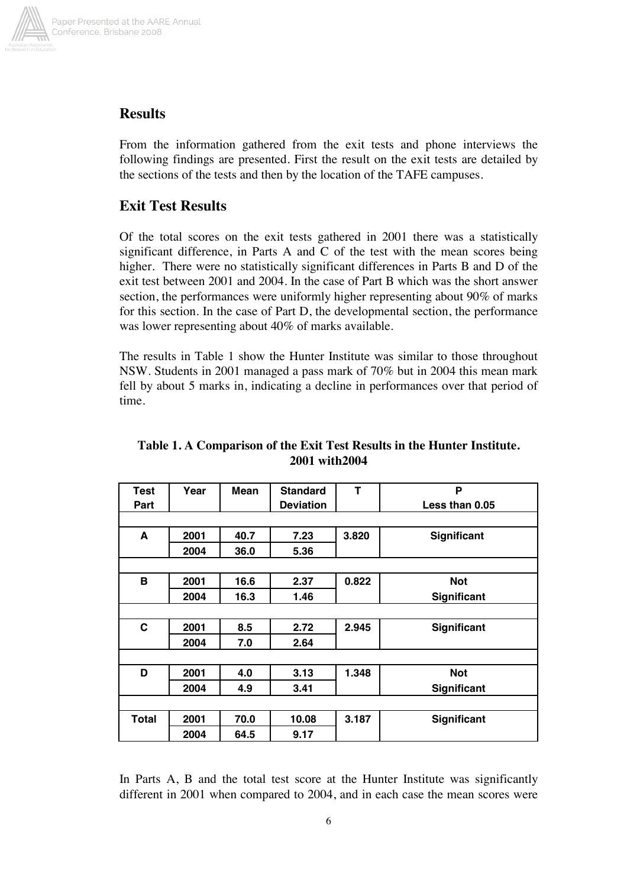

# **Results**

From the information gathered from the exit tests and phone interviews the following findings are presented. First the result on the exit tests are detailed by the sections of the tests and then by the location of the TAFE campuses.

# **Exit Test Results**

Of the total scores on the exit tests gathered in 2001 there was a statistically significant difference, in Parts A and C of the test with the mean scores being higher. There were no statistically significant differences in Parts B and D of the exit test between 2001 and 2004. In the case of Part B which was the short answer section, the performances were uniformly higher representing about 90% of marks for this section. In the case of Part D, the developmental section, the performance was lower representing about 40% of marks available.

The results in Table 1 show the Hunter Institute was similar to those throughout NSW. Students in 2001 managed a pass mark of 70% but in 2004 this mean mark fell by about 5 marks in, indicating a decline in performances over that period of time.

| <b>Test</b>  | Year | <b>Mean</b> | <b>Standard</b>  | Т     | P                  |  |  |  |  |
|--------------|------|-------------|------------------|-------|--------------------|--|--|--|--|
| Part         |      |             | <b>Deviation</b> |       | Less than 0.05     |  |  |  |  |
|              |      |             |                  |       |                    |  |  |  |  |
| A            | 2001 | 40.7        | 7.23             | 3.820 | Significant        |  |  |  |  |
|              | 2004 | 36.0        | 5.36             |       |                    |  |  |  |  |
|              |      |             |                  |       |                    |  |  |  |  |
| В            | 2001 | 16.6        | 2.37             | 0.822 | <b>Not</b>         |  |  |  |  |
|              | 2004 | 16.3        | 1.46             |       | <b>Significant</b> |  |  |  |  |
|              |      |             |                  |       |                    |  |  |  |  |
| C            | 2001 | 8.5         | 2.72             | 2.945 | Significant        |  |  |  |  |
|              | 2004 | 7.0         | 2.64             |       |                    |  |  |  |  |
|              |      |             |                  |       |                    |  |  |  |  |
| D            | 2001 | 4.0         | 3.13             | 1.348 | <b>Not</b>         |  |  |  |  |
|              | 2004 | 4.9         | 3.41             |       | <b>Significant</b> |  |  |  |  |
|              |      |             |                  |       |                    |  |  |  |  |
| <b>Total</b> | 2001 | 70.0        | 10.08            | 3.187 | Significant        |  |  |  |  |
|              | 2004 | 64.5        | 9.17             |       |                    |  |  |  |  |

### **Table 1. A Comparison of the Exit Test Results in the Hunter Institute. 2001 with2004**

In Parts A, B and the total test score at the Hunter Institute was significantly different in 2001 when compared to 2004, and in each case the mean scores were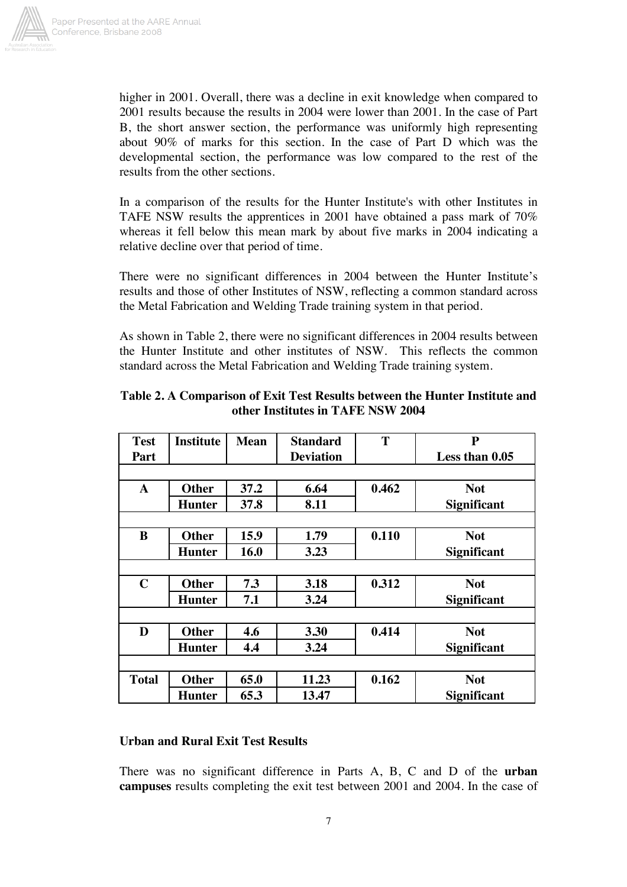

higher in 2001. Overall, there was a decline in exit knowledge when compared to 2001 results because the results in 2004 were lower than 2001. In the case of Part B, the short answer section, the performance was uniformly high representing about 90% of marks for this section. In the case of Part D which was the developmental section, the performance was low compared to the rest of the results from the other sections.

In a comparison of the results for the Hunter Institute's with other Institutes in TAFE NSW results the apprentices in 2001 have obtained a pass mark of 70% whereas it fell below this mean mark by about five marks in 2004 indicating a relative decline over that period of time.

There were no significant differences in 2004 between the Hunter Institute's results and those of other Institutes of NSW, reflecting a common standard across the Metal Fabrication and Welding Trade training system in that period.

As shown in Table 2, there were no significant differences in 2004 results between the Hunter Institute and other institutes of NSW. This reflects the common standard across the Metal Fabrication and Welding Trade training system.

| <b>Test</b>  | <b>Institute</b> | <b>Mean</b> | <b>Standard</b>  | T     | ${\bf P}$          |
|--------------|------------------|-------------|------------------|-------|--------------------|
| Part         |                  |             | <b>Deviation</b> |       | Less than 0.05     |
|              |                  |             |                  |       |                    |
| $\mathbf{A}$ | <b>Other</b>     | 37.2        | 6.64             | 0.462 | <b>Not</b>         |
|              | <b>Hunter</b>    | 37.8        | 8.11             |       | <b>Significant</b> |
|              |                  |             |                  |       |                    |
| B            | <b>Other</b>     | 15.9        | 1.79             | 0.110 | <b>Not</b>         |
|              | <b>Hunter</b>    | 16.0        | 3.23             |       | <b>Significant</b> |
|              |                  |             |                  |       |                    |
| $\mathbf C$  | <b>Other</b>     | 7.3         | 3.18             | 0.312 | <b>Not</b>         |
|              | <b>Hunter</b>    | 7.1         | 3.24             |       | <b>Significant</b> |
|              |                  |             |                  |       |                    |
| D            | <b>Other</b>     | 4.6         | 3.30             | 0.414 | <b>Not</b>         |
|              | <b>Hunter</b>    | 4.4         | 3.24             |       | <b>Significant</b> |
|              |                  |             |                  |       |                    |
| <b>Total</b> | <b>Other</b>     | 65.0        | 11.23            | 0.162 | <b>Not</b>         |
|              | <b>Hunter</b>    | 65.3        | 13.47            |       | <b>Significant</b> |

**Table 2. A Comparison of Exit Test Results between the Hunter Institute and other Institutes in TAFE NSW 2004** 

#### **Urban and Rural Exit Test Results**

There was no significant difference in Parts A, B, C and D of the **urban campuses** results completing the exit test between 2001 and 2004. In the case of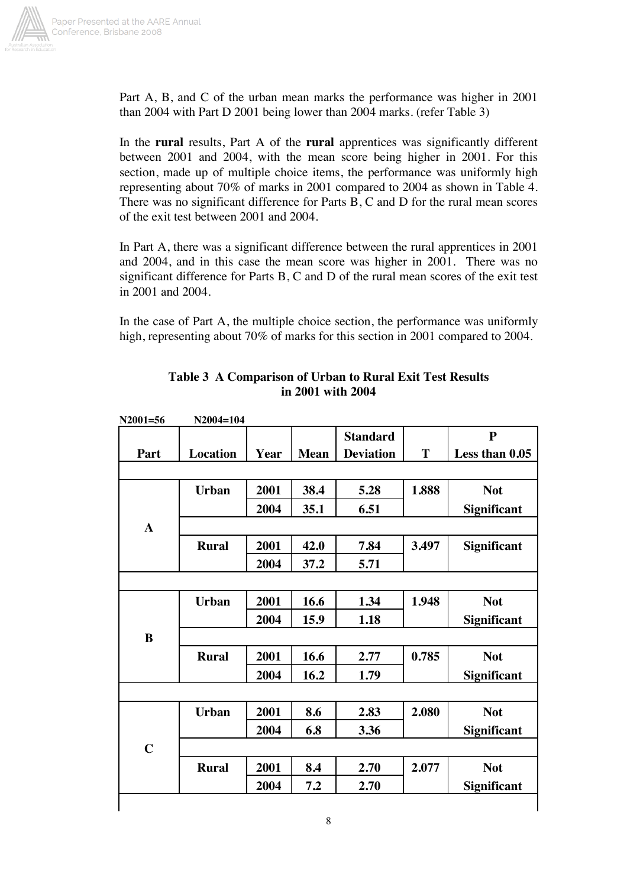

Part A, B, and C of the urban mean marks the performance was higher in 2001 than 2004 with Part D 2001 being lower than 2004 marks. (refer Table 3)

In the **rural** results, Part A of the **rural** apprentices was significantly different between 2001 and 2004, with the mean score being higher in 2001. For this section, made up of multiple choice items, the performance was uniformly high representing about 70% of marks in 2001 compared to 2004 as shown in Table 4. There was no significant difference for Parts B, C and D for the rural mean scores of the exit test between 2001 and 2004.

In Part A, there was a significant difference between the rural apprentices in 2001 and 2004, and in this case the mean score was higher in 2001. There was no significant difference for Parts B, C and D of the rural mean scores of the exit test in 2001 and 2004.

In the case of Part A, the multiple choice section, the performance was uniformly high, representing about 70% of marks for this section in 2001 compared to 2004.

| $N2001 = 56$ | N2004=104       |      |             |                  |       |                    |
|--------------|-----------------|------|-------------|------------------|-------|--------------------|
|              |                 |      |             | <b>Standard</b>  |       | ${\bf P}$          |
| Part         | <b>Location</b> | Year | <b>Mean</b> | <b>Deviation</b> | T     | Less than 0.05     |
|              |                 |      |             |                  |       |                    |
|              | <b>Urban</b>    | 2001 | 38.4        | 5.28             | 1.888 | <b>Not</b>         |
|              |                 | 2004 | 35.1        | 6.51             |       | Significant        |
| $\mathbf{A}$ |                 |      |             |                  |       |                    |
|              | <b>Rural</b>    | 2001 | 42.0        | 7.84             | 3.497 | <b>Significant</b> |
|              |                 | 2004 | 37.2        | 5.71             |       |                    |
|              |                 |      |             |                  |       |                    |
|              | <b>Urban</b>    | 2001 | 16.6        | 1.34             | 1.948 | <b>Not</b>         |
|              |                 | 2004 | 15.9        | 1.18             |       | Significant        |
| $\bf{B}$     |                 |      |             |                  |       |                    |
|              | <b>Rural</b>    | 2001 | 16.6        | 2.77             | 0.785 | <b>Not</b>         |
|              |                 | 2004 | 16.2        | 1.79             |       | Significant        |
|              |                 |      |             |                  |       |                    |
|              | <b>Urban</b>    | 2001 | 8.6         | 2.83             | 2.080 | <b>Not</b>         |
|              |                 | 2004 | 6.8         | 3.36             |       | Significant        |
| $\mathbf C$  |                 |      |             |                  |       |                    |
|              | <b>Rural</b>    | 2001 | 8.4         | 2.70             | 2.077 | <b>Not</b>         |
|              |                 | 2004 | 7.2         | 2.70             |       | Significant        |

### **Table 3 A Comparison of Urban to Rural Exit Test Results in 2001 with 2004**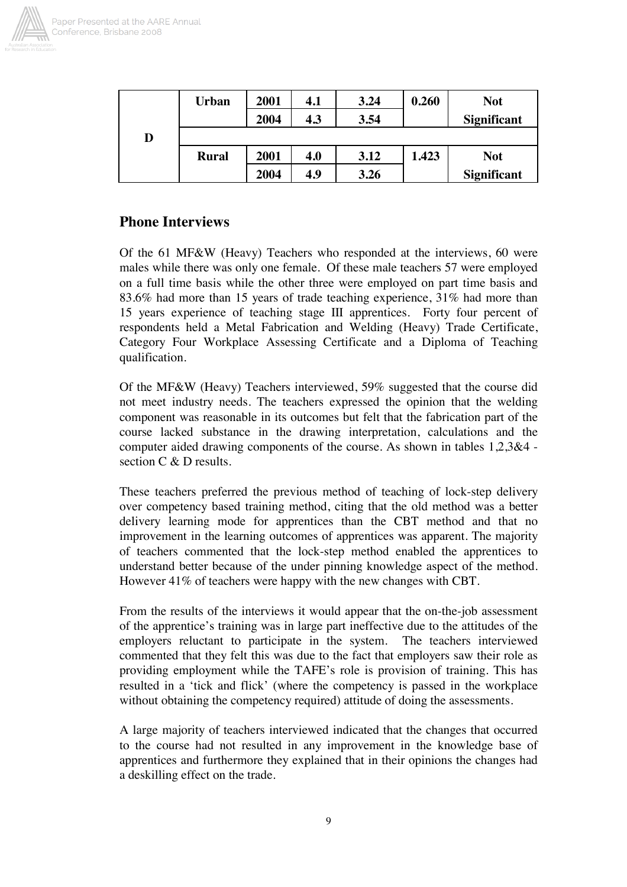

|   | <b>Urban</b> | 2001 | 4.1 | 3.24 | 0.260 | <b>Not</b>  |
|---|--------------|------|-----|------|-------|-------------|
|   |              | 2004 | 4.3 | 3.54 |       | Significant |
| D |              |      |     |      |       |             |
|   | <b>Rural</b> | 2001 | 4.0 | 3.12 | 1.423 | <b>Not</b>  |
|   |              | 2004 | 4.9 | 3.26 |       | Significant |

## **Phone Interviews**

Of the 61 MF&W (Heavy) Teachers who responded at the interviews, 60 were males while there was only one female. Of these male teachers 57 were employed on a full time basis while the other three were employed on part time basis and 83.6% had more than 15 years of trade teaching experience, 31% had more than 15 years experience of teaching stage III apprentices. Forty four percent of respondents held a Metal Fabrication and Welding (Heavy) Trade Certificate, Category Four Workplace Assessing Certificate and a Diploma of Teaching qualification.

Of the MF&W (Heavy) Teachers interviewed, 59% suggested that the course did not meet industry needs. The teachers expressed the opinion that the welding component was reasonable in its outcomes but felt that the fabrication part of the course lacked substance in the drawing interpretation, calculations and the computer aided drawing components of the course. As shown in tables 1,2,3&4 section C & D results.

These teachers preferred the previous method of teaching of lock-step delivery over competency based training method, citing that the old method was a better delivery learning mode for apprentices than the CBT method and that no improvement in the learning outcomes of apprentices was apparent. The majority of teachers commented that the lock-step method enabled the apprentices to understand better because of the under pinning knowledge aspect of the method. However 41% of teachers were happy with the new changes with CBT.

From the results of the interviews it would appear that the on-the-job assessment of the apprentice's training was in large part ineffective due to the attitudes of the employers reluctant to participate in the system. The teachers interviewed commented that they felt this was due to the fact that employers saw their role as providing employment while the TAFE's role is provision of training. This has resulted in a 'tick and flick' (where the competency is passed in the workplace without obtaining the competency required) attitude of doing the assessments.

A large majority of teachers interviewed indicated that the changes that occurred to the course had not resulted in any improvement in the knowledge base of apprentices and furthermore they explained that in their opinions the changes had a deskilling effect on the trade.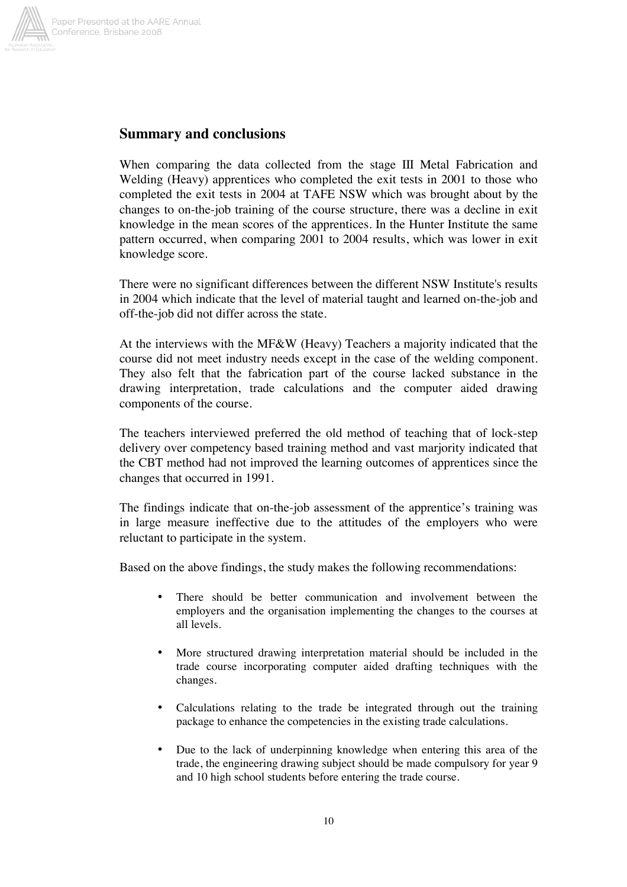

### **Summary and conclusions**

When comparing the data collected from the stage III Metal Fabrication and Welding (Heavy) apprentices who completed the exit tests in 2001 to those who completed the exit tests in 2004 at TAFE NSW which was brought about by the changes to on-the-job training of the course structure, there was a decline in exit knowledge in the mean scores of the apprentices. In the Hunter Institute the same pattern occurred, when comparing 2001 to 2004 results, which was lower in exit knowledge score.

There were no significant differences between the different NSW Institute's results in 2004 which indicate that the level of material taught and learned on-the-job and off-the-job did not differ across the state.

At the interviews with the MF&W (Heavy) Teachers a majority indicated that the course did not meet industry needs except in the case of the welding component. They also felt that the fabrication part of the course lacked substance in the drawing interpretation, trade calculations and the computer aided drawing components of the course.

The teachers interviewed preferred the old method of teaching that of lock-step delivery over competency based training method and vast marjority indicated that the CBT method had not improved the learning outcomes of apprentices since the changes that occurred in 1991.

The findings indicate that on-the-job assessment of the apprentice's training was in large measure ineffective due to the attitudes of the employers who were reluctant to participate in the system.

Based on the above findings, the study makes the following recommendations:

- There should be better communication and involvement between the employers and the organisation implementing the changes to the courses at all levels.
- More structured drawing interpretation material should be included in the trade course incorporating computer aided drafting techniques with the changes.
- Calculations relating to the trade be integrated through out the training package to enhance the competencies in the existing trade calculations.
- Due to the lack of underpinning knowledge when entering this area of the trade, the engineering drawing subject should be made compulsory for year 9 and 10 high school students before entering the trade course.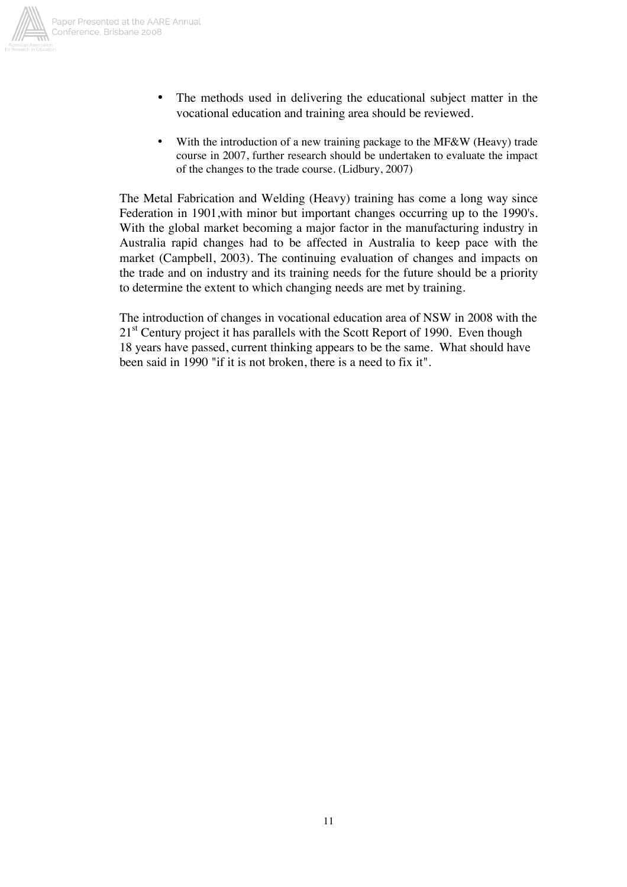

- - The methods used in delivering the educational subject matter in the vocational education and training area should be reviewed.
	- With the introduction of a new training package to the MF&W (Heavy) trade course in 2007, further research should be undertaken to evaluate the impact of the changes to the trade course. (Lidbury, 2007)

The Metal Fabrication and Welding (Heavy) training has come a long way since Federation in 1901,with minor but important changes occurring up to the 1990's. With the global market becoming a major factor in the manufacturing industry in Australia rapid changes had to be affected in Australia to keep pace with the market (Campbell, 2003). The continuing evaluation of changes and impacts on the trade and on industry and its training needs for the future should be a priority to determine the extent to which changing needs are met by training.

The introduction of changes in vocational education area of NSW in 2008 with the  $21<sup>st</sup>$  Century project it has parallels with the Scott Report of 1990. Even though 18 years have passed, current thinking appears to be the same. What should have been said in 1990 "if it is not broken, there is a need to fix it".